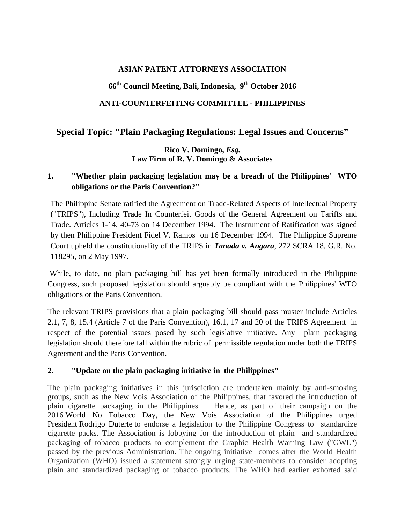#### **ASIAN PATENT ATTORNEYS ASSOCIATION**

# **66th Council Meeting, Bali, Indonesia, 9th October 2016**

#### **ANTI-COUNTERFEITING COMMITTEE - PHILIPPINES**

# **Special Topic: "Plain Packaging Regulations: Legal Issues and Concerns"**

### **Rico V. Domingo,** *Esq.* **Law Firm of R. V. Domingo & Associates**

# **1. "Whether plain packaging legislation may be a breach of the Philippines' WTO obligations or the Paris Convention?"**

The Philippine Senate ratified the Agreement on Trade-Related Aspects of Intellectual Property ("TRIPS"), Including Trade In Counterfeit Goods of the General Agreement on Tariffs and Trade. Articles 1-14, 40-73 on 14 December 1994. The Instrument of Ratification was signed by then Philippine President Fidel V. Ramos on 16 December 1994. The Philippine Supreme Court upheld the constitutionality of the TRIPS in *Tanada v. Angara*, 272 SCRA 18, G.R. No. 118295, on 2 May 1997.

While, to date, no plain packaging bill has yet been formally introduced in the Philippine Congress, such proposed legislation should arguably be compliant with the Philippines' WTO obligations or the Paris Convention.

The relevant TRIPS provisions that a plain packaging bill should pass muster include Articles 2.1, 7, 8, 15.4 (Article 7 of the Paris Convention), 16.1, 17 and 20 of the TRIPS Agreement in respect of the potential issues posed by such legislative initiative. Any plain packaging legislation should therefore fall within the rubric of permissible regulation under both the TRIPS Agreement and the Paris Convention.

#### **2. "Update on the plain packaging initiative in the Philippines"**

The plain packaging initiatives in this jurisdiction are undertaken mainly by anti-smoking groups, such as the New Vois Association of the Philippines, that favored the introduction of plain cigarette packaging in the Philippines. Hence, as part of their campaign on the 2016 [World No Tobacco Day,](https://en.wikipedia.org/wiki/World_No_Tobacco_Day) the New Vois Association of the Philippines urged President [Rodrigo Duterte](https://en.wikipedia.org/wiki/Rodrigo_Duterte) to endorse a legislation to the Philippine Congress to standardize cigarette packs. The Association is lobbying for the introduction of plain and standardized packaging of tobacco products to complement the Graphic Health Warning Law ("GWL") passed by the previous Administration. The ongoing initiative comes after the World Health Organization (WHO) issued a statement strongly urging state-members to consider adopting plain and standardized packaging of tobacco products. The WHO had earlier exhorted said